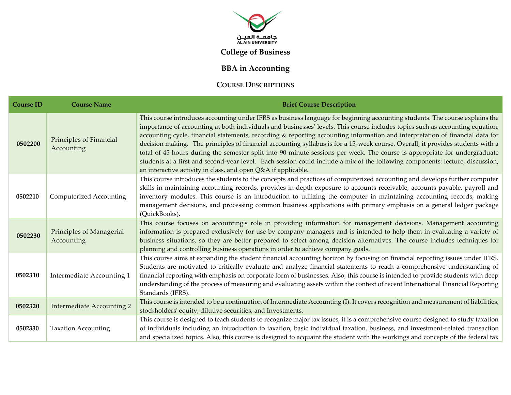

## **College of Business**

## **BBA in Accounting**

## **COURSE DESCRIPTIONS**

| <b>Course ID</b> | <b>Course Name</b>                     | <b>Brief Course Description</b>                                                                                                                                                                                                                                                                                                                                                                                                                                                                                                                                                                                                                                                                                                                                                                                                                                 |
|------------------|----------------------------------------|-----------------------------------------------------------------------------------------------------------------------------------------------------------------------------------------------------------------------------------------------------------------------------------------------------------------------------------------------------------------------------------------------------------------------------------------------------------------------------------------------------------------------------------------------------------------------------------------------------------------------------------------------------------------------------------------------------------------------------------------------------------------------------------------------------------------------------------------------------------------|
| 0502200          | Principles of Financial<br>Accounting  | This course introduces accounting under IFRS as business language for beginning accounting students. The course explains the<br>importance of accounting at both individuals and businesses' levels. This course includes topics such as accounting equation,<br>accounting cycle, financial statements, recording & reporting accounting information and interpretation of financial data for<br>decision making. The principles of financial accounting syllabus is for a 15-week course. Overall, it provides students with a<br>total of 45 hours during the semester split into 90-minute sessions per week. The course is appropriate for undergraduate<br>students at a first and second-year level. Each session could include a mix of the following components: lecture, discussion,<br>an interactive activity in class, and open Q&A if applicable. |
| 0502210          | Computerized Accounting                | This course introduces the students to the concepts and practices of computerized accounting and develops further computer<br>skills in maintaining accounting records, provides in-depth exposure to accounts receivable, accounts payable, payroll and<br>inventory modules. This course is an introduction to utilizing the computer in maintaining accounting records, making<br>management decisions, and processing common business applications with primary emphasis on a general ledger package<br>(QuickBooks).                                                                                                                                                                                                                                                                                                                                       |
| 0502230          | Principles of Managerial<br>Accounting | This course focuses on accounting's role in providing information for management decisions. Management accounting<br>information is prepared exclusively for use by company managers and is intended to help them in evaluating a variety of<br>business situations, so they are better prepared to select among decision alternatives. The course includes techniques for<br>planning and controlling business operations in order to achieve company goals.                                                                                                                                                                                                                                                                                                                                                                                                   |
| 0502310          | Intermediate Accounting 1              | This course aims at expanding the student financial accounting horizon by focusing on financial reporting issues under IFRS.<br>Students are motivated to critically evaluate and analyze financial statements to reach a comprehensive understanding of<br>financial reporting with emphasis on corporate form of businesses. Also, this course is intended to provide students with deep<br>understanding of the process of measuring and evaluating assets within the context of recent International Financial Reporting<br>Standards (IFRS).                                                                                                                                                                                                                                                                                                               |
| 0502320          | <b>Intermediate Accounting 2</b>       | This course is intended to be a continuation of Intermediate Accounting (I). It covers recognition and measurement of liabilities,<br>stockholders' equity, dilutive securities, and Investments.                                                                                                                                                                                                                                                                                                                                                                                                                                                                                                                                                                                                                                                               |
| 0502330          | <b>Taxation Accounting</b>             | This course is designed to teach students to recognize major tax issues, it is a comprehensive course designed to study taxation<br>of individuals including an introduction to taxation, basic individual taxation, business, and investment-related transaction<br>and specialized topics. Also, this course is designed to acquaint the student with the workings and concepts of the federal tax                                                                                                                                                                                                                                                                                                                                                                                                                                                            |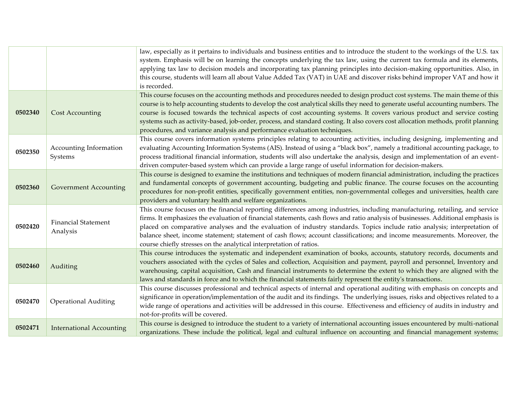|         |                                        | law, especially as it pertains to individuals and business entities and to introduce the student to the workings of the U.S. tax<br>system. Emphasis will be on learning the concepts underlying the tax law, using the current tax formula and its elements,<br>applying tax law to decision models and incorporating tax planning principles into decision-making opportunities. Also, in<br>this course, students will learn all about Value Added Tax (VAT) in UAE and discover risks behind improper VAT and how it<br>is recorded.                                                                     |
|---------|----------------------------------------|--------------------------------------------------------------------------------------------------------------------------------------------------------------------------------------------------------------------------------------------------------------------------------------------------------------------------------------------------------------------------------------------------------------------------------------------------------------------------------------------------------------------------------------------------------------------------------------------------------------|
| 0502340 | <b>Cost Accounting</b>                 | This course focuses on the accounting methods and procedures needed to design product cost systems. The main theme of this<br>course is to help accounting students to develop the cost analytical skills they need to generate useful accounting numbers. The<br>course is focused towards the technical aspects of cost accounting systems. It covers various product and service costing<br>systems such as activity-based, job-order, process, and standard costing. It also covers cost allocation methods, profit planning<br>procedures, and variance analysis and performance evaluation techniques. |
| 0502350 | Accounting Information<br>Systems      | This course covers information systems principles relating to accounting activities, including designing, implementing and<br>evaluating Accounting Information Systems (AIS). Instead of using a "black box", namely a traditional accounting package, to<br>process traditional financial information, students will also undertake the analysis, design and implementation of an event-<br>driven computer-based system which can provide a large range of useful information for decision-makers.                                                                                                        |
| 0502360 | <b>Government Accounting</b>           | This course is designed to examine the institutions and techniques of modern financial administration, including the practices<br>and fundamental concepts of government accounting, budgeting and public finance. The course focuses on the accounting<br>procedures for non-profit entities, specifically government entities, non-governmental colleges and universities, health care<br>providers and voluntary health and welfare organizations.                                                                                                                                                        |
| 0502420 | <b>Financial Statement</b><br>Analysis | This course focuses on the financial reporting differences among industries, including manufacturing, retailing, and service<br>firms. It emphasizes the evaluation of financial statements, cash flows and ratio analysis of businesses. Additional emphasis is<br>placed on comparative analyses and the evaluation of industry standards. Topics include ratio analysis; interpretation of<br>balance sheet, income statement; statement of cash flows; account classifications; and income measurements. Moreover, the<br>course chiefly stresses on the analytical interpretation of ratios.            |
| 0502460 | Auditing                               | This course introduces the systematic and independent examination of books, accounts, statutory records, documents and<br>vouchers associated with the cycles of Sales and collection, Acquisition and payment, payroll and personnel, Inventory and<br>warehousing, capital acquisition, Cash and financial instruments to determine the extent to which they are aligned with the<br>laws and standards in force and to which the financial statements fairly represent the entity's transactions.                                                                                                         |
| 0502470 | <b>Operational Auditing</b>            | This course discusses professional and technical aspects of internal and operational auditing with emphasis on concepts and<br>significance in operation/implementation of the audit and its findings. The underlying issues, risks and objectives related to a<br>wide range of operations and activities will be addressed in this course. Effectiveness and efficiency of audits in industry and<br>not-for-profits will be covered.                                                                                                                                                                      |
| 0502471 | <b>International Accounting</b>        | This course is designed to introduce the student to a variety of international accounting issues encountered by multi-national<br>organizations. These include the political, legal and cultural influence on accounting and financial management systems;                                                                                                                                                                                                                                                                                                                                                   |